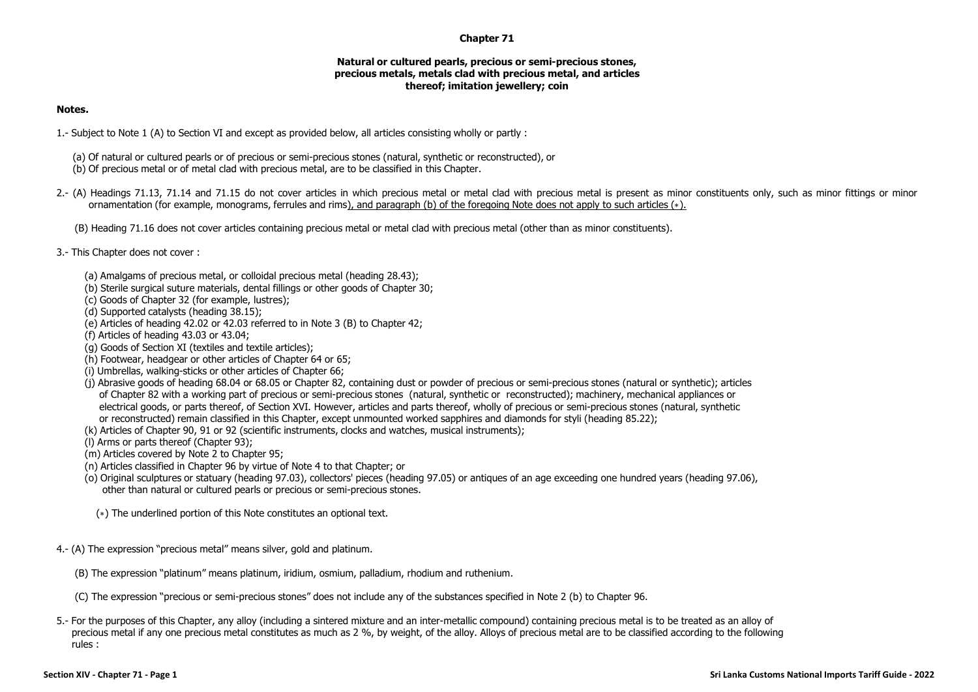## **Chapter 71**

## **Natural or cultured pearls, precious or semi-precious stones, precious metals, metals clad with precious metal, and articles thereof; imitation jewellery; coin**

## **Notes.**

- 1.- Subject to Note 1 (A) to Section VI and except as provided below, all articles consisting wholly or partly :
	- (a) Of natural or cultured pearls or of precious or semi-precious stones (natural, synthetic or reconstructed), or
	- (b) Of precious metal or of metal clad with precious metal, are to be classified in this Chapter.
- 2.- (A) Headings 71.13, 71.14 and 71.15 do not cover articles in which precious metal or metal clad with precious metal is present as minor constituents only, such as minor fittings or minor ornamentation (for example, monograms, ferrules and rims), and paragraph (b) of the foregoing Note does not apply to such articles (∗).
	- (B) Heading 71.16 does not cover articles containing precious metal or metal clad with precious metal (other than as minor constituents).
- 3.- This Chapter does not cover :
	- (a) Amalgams of precious metal, or colloidal precious metal (heading 28.43);
	- (b) Sterile surgical suture materials, dental fillings or other goods of Chapter 30;
	- (c) Goods of Chapter 32 (for example, lustres);
	- (d) Supported catalysts (heading 38.15);
	- (e) Articles of heading 42.02 or 42.03 referred to in Note 3 (B) to Chapter 42;
	- (f) Articles of heading 43.03 or 43.04;
	- (g) Goods of Section XI (textiles and textile articles);
	- (h) Footwear, headgear or other articles of Chapter 64 or 65;
	- (i) Umbrellas, walking-sticks or other articles of Chapter 66;
	- (j) Abrasive goods of heading 68.04 or 68.05 or Chapter 82, containing dust or powder of precious or semi-precious stones (natural or synthetic); articles of Chapter 82 with a working part of precious or semi-precious stones (natural, synthetic or reconstructed); machinery, mechanical appliances or electrical goods, or parts thereof, of Section XVI. However, articles and parts thereof, wholly of precious or semi-precious stones (natural, synthetic or reconstructed) remain classified in this Chapter, except unmounted worked sapphires and diamonds for styli (heading 85.22);
	- (k) Articles of Chapter 90, 91 or 92 (scientific instruments, clocks and watches, musical instruments);
	- (l) Arms or parts thereof (Chapter 93);
	- (m) Articles covered by Note 2 to Chapter 95;
	- (n) Articles classified in Chapter 96 by virtue of Note 4 to that Chapter; or
	- (o) Original sculptures or statuary (heading 97.03), collectors' pieces (heading 97.05) or antiques of an age exceeding one hundred years (heading 97.06), other than natural or cultured pearls or precious or semi-precious stones.
		- (∗) The underlined portion of this Note constitutes an optional text.
- 4.- (A) The expression "precious metal" means silver, gold and platinum.
	- (B) The expression "platinum" means platinum, iridium, osmium, palladium, rhodium and ruthenium.
	- (C) The expression "precious or semi-precious stones" does not include any of the substances specified in Note 2 (b) to Chapter 96.
- 5.- For the purposes of this Chapter, any alloy (including a sintered mixture and an inter-metallic compound) containing precious metal is to be treated as an alloy of precious metal if any one precious metal constitutes as much as 2 %, by weight, of the alloy. Alloys of precious metal are to be classified according to the following rules :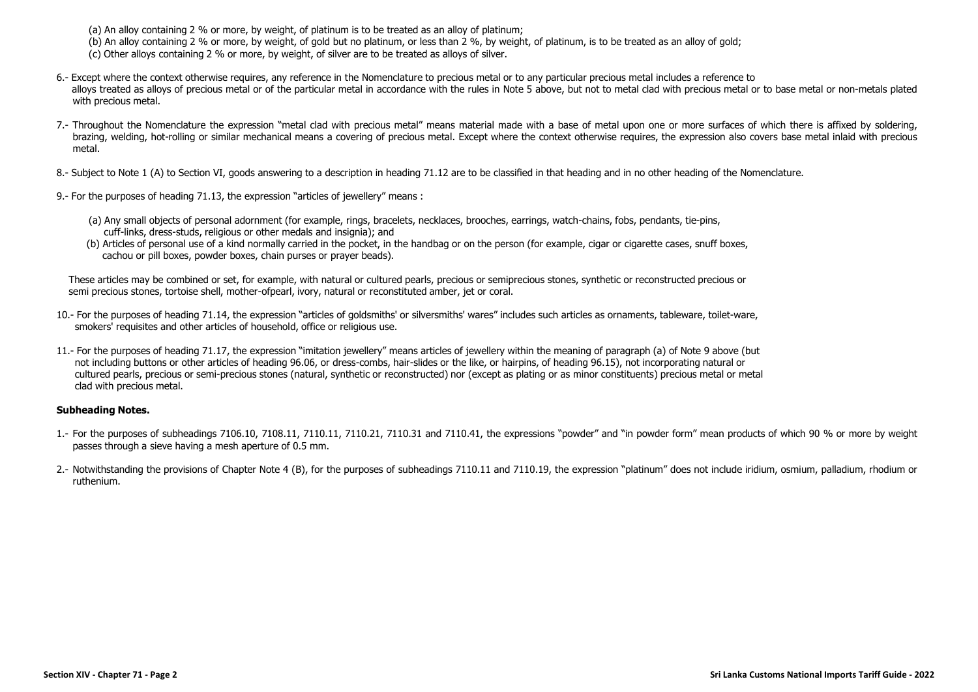(a) An alloy containing 2 % or more, by weight, of platinum is to be treated as an alloy of platinum;

(b) An alloy containing 2 % or more, by weight, of gold but no platinum, or less than 2 %, by weight, of platinum, is to be treated as an alloy of gold;

(c) Other alloys containing 2 % or more, by weight, of silver are to be treated as alloys of silver.

- 6.- Except where the context otherwise requires, any reference in the Nomenclature to precious metal or to any particular precious metal includes a reference to alloys treated as alloys of precious metal or of the particular metal in accordance with the rules in Note 5 above, but not to metal clad with precious metal or to base metal or non-metals plated with precious metal.
- 7.- Throughout the Nomenclature the expression "metal clad with precious metal" means material made with a base of metal upon one or more surfaces of which there is affixed by soldering, brazing, welding, hot-rolling or similar mechanical means a covering of precious metal. Except where the context otherwise requires, the expression also covers base metal inlaid with precious metal.

8.- Subject to Note 1 (A) to Section VI, goods answering to a description in heading 71.12 are to be classified in that heading and in no other heading of the Nomenclature.

9.- For the purposes of heading 71.13, the expression "articles of jewellery" means :

- (a) Any small objects of personal adornment (for example, rings, bracelets, necklaces, brooches, earrings, watch-chains, fobs, pendants, tie-pins, cuff-links, dress-studs, religious or other medals and insignia); and
- (b) Articles of personal use of a kind normally carried in the pocket, in the handbag or on the person (for example, cigar or cigarette cases, snuff boxes, cachou or pill boxes, powder boxes, chain purses or prayer beads).

These articles may be combined or set, for example, with natural or cultured pearls, precious or semiprecious stones, synthetic or reconstructed precious or semi precious stones, tortoise shell, mother-ofpearl, ivory, natural or reconstituted amber, jet or coral.

- 10.- For the purposes of heading 71.14, the expression "articles of goldsmiths' or silversmiths' wares" includes such articles as ornaments, tableware, toilet-ware, smokers' requisites and other articles of household, office or religious use.
- 11.- For the purposes of heading 71.17, the expression "imitation jewellery" means articles of jewellery within the meaning of paragraph (a) of Note 9 above (but not including buttons or other articles of heading 96.06, or dress-combs, hair-slides or the like, or hairpins, of heading 96.15), not incorporating natural or cultured pearls, precious or semi-precious stones (natural, synthetic or reconstructed) nor (except as plating or as minor constituents) precious metal or metal clad with precious metal.

## **Subheading Notes.**

- 1.- For the purposes of subheadings 7106.10, 7108.11, 7110.11, 7110.21, 7110.31 and 7110.41, the expressions "powder" and "in powder form" mean products of which 90 % or more by weight passes through a sieve having a mesh aperture of 0.5 mm.
- 2.- Notwithstanding the provisions of Chapter Note 4 (B), for the purposes of subheadings 7110.11 and 7110.19, the expression "platinum" does not include iridium, osmium, palladium, rhodium or ruthenium.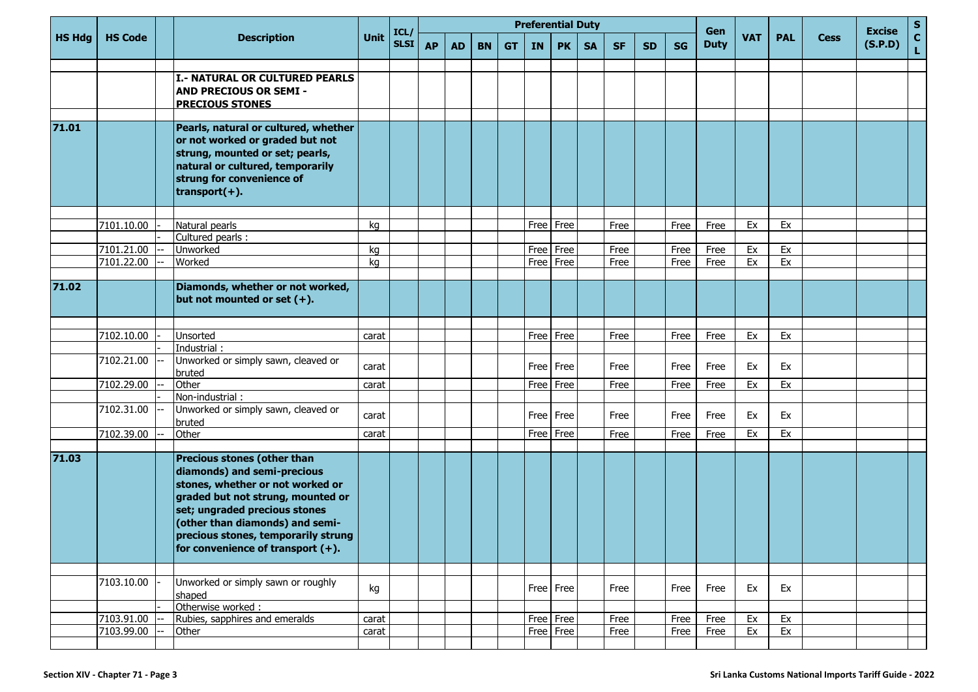|               |                          |                                                                                                                                                                                                                                                                                        |                | ICL/        |           | <b>Preferential Duty</b><br>Gen |           |           |           |                                     |           |              |           |              |                           |            |             | <b>Excise</b> | $\mathbf{s}$       |  |
|---------------|--------------------------|----------------------------------------------------------------------------------------------------------------------------------------------------------------------------------------------------------------------------------------------------------------------------------------|----------------|-------------|-----------|---------------------------------|-----------|-----------|-----------|-------------------------------------|-----------|--------------|-----------|--------------|---------------------------|------------|-------------|---------------|--------------------|--|
| <b>HS Hdg</b> | <b>HS Code</b>           | <b>Description</b>                                                                                                                                                                                                                                                                     | <b>Unit</b>    | <b>SLSI</b> | <b>AP</b> | <b>AD</b>                       | <b>BN</b> | <b>GT</b> | <b>IN</b> | <b>PK</b>                           | <b>SA</b> | <b>SF</b>    | <b>SD</b> | <b>SG</b>    | <b>VAT</b><br><b>Duty</b> | <b>PAL</b> | <b>Cess</b> | (S.P.D)       | $\mathbf{C}$<br>L. |  |
|               |                          | I.- NATURAL OR CULTURED PEARLS<br><b>AND PRECIOUS OR SEMI -</b><br><b>PRECIOUS STONES</b>                                                                                                                                                                                              |                |             |           |                                 |           |           |           |                                     |           |              |           |              |                           |            |             |               |                    |  |
| 71.01         |                          | Pearls, natural or cultured, whether<br>or not worked or graded but not<br>strung, mounted or set; pearls,<br>natural or cultured, temporarily<br>strung for convenience of<br>$transport(+).$                                                                                         |                |             |           |                                 |           |           |           |                                     |           |              |           |              |                           |            |             |               |                    |  |
|               |                          |                                                                                                                                                                                                                                                                                        |                |             |           |                                 |           |           |           |                                     |           |              |           |              |                           |            |             |               |                    |  |
|               | 7101.10.00               | Natural pearls                                                                                                                                                                                                                                                                         | kg             |             |           |                                 |           |           | Free      | Free                                |           | Free         |           | Free         | Free                      | Ex         | Ex          |               |                    |  |
|               | 7101.21.00               | Cultured pearls :<br>Unworked                                                                                                                                                                                                                                                          | kg             |             |           |                                 |           |           | Free      | Free                                |           | Free         |           | Free         | Free                      | Ex         | Ex          |               |                    |  |
|               | 7101.22.00               | Worked                                                                                                                                                                                                                                                                                 | kg             |             |           |                                 |           |           | Free      | Free                                |           | Free         |           | Free         | Free                      | Ex         | Ex          |               |                    |  |
|               |                          |                                                                                                                                                                                                                                                                                        |                |             |           |                                 |           |           |           |                                     |           |              |           |              |                           |            |             |               |                    |  |
| 71.02         |                          | Diamonds, whether or not worked,<br>but not mounted or set $(+)$ .                                                                                                                                                                                                                     |                |             |           |                                 |           |           |           |                                     |           |              |           |              |                           |            |             |               |                    |  |
|               |                          |                                                                                                                                                                                                                                                                                        |                |             |           |                                 |           |           |           |                                     |           |              |           |              |                           |            |             |               |                    |  |
|               | 7102.10.00               | Unsorted                                                                                                                                                                                                                                                                               | carat          |             |           |                                 |           |           |           | $\overline{Free}$ Free              |           | Free         |           | Free         | Free                      | Ex         | Ex          |               |                    |  |
|               |                          | Industrial:                                                                                                                                                                                                                                                                            |                |             |           |                                 |           |           |           |                                     |           |              |           |              |                           |            |             |               |                    |  |
|               | 7102.21.00               | Unworked or simply sawn, cleaved or<br>bruted                                                                                                                                                                                                                                          | carat          |             |           |                                 |           |           |           | Free Free                           |           | Free         |           | Free         | Free                      | Ex         | Ex          |               |                    |  |
|               | 7102.29.00               | Other                                                                                                                                                                                                                                                                                  | carat          |             |           |                                 |           |           | Free      | Free                                |           | Free         |           | Free         | Free                      | Ex         | Ex          |               |                    |  |
|               |                          | Non-industrial:                                                                                                                                                                                                                                                                        |                |             |           |                                 |           |           |           |                                     |           |              |           |              |                           |            |             |               |                    |  |
|               | 7102.31.00               | Unworked or simply sawn, cleaved or<br>bruted                                                                                                                                                                                                                                          | carat          |             |           |                                 |           |           |           | Free   Free                         |           | Free         |           | Free         | Free                      | Ex         | Ex          |               |                    |  |
|               | 7102.39.00               | Other                                                                                                                                                                                                                                                                                  | carat          |             |           |                                 |           |           |           | Free   Free                         |           | Free         |           | Free         | Free                      | Ex         | Ex          |               |                    |  |
|               |                          |                                                                                                                                                                                                                                                                                        |                |             |           |                                 |           |           |           |                                     |           |              |           |              |                           |            |             |               |                    |  |
| 71.03         |                          | Precious stones (other than<br>diamonds) and semi-precious<br>stones, whether or not worked or<br>graded but not strung, mounted or<br>set; ungraded precious stones<br>(other than diamonds) and semi-<br>precious stones, temporarily strung<br>for convenience of transport $(+)$ . |                |             |           |                                 |           |           |           |                                     |           |              |           |              |                           |            |             |               |                    |  |
|               |                          |                                                                                                                                                                                                                                                                                        |                |             |           |                                 |           |           |           |                                     |           |              |           |              |                           |            |             |               |                    |  |
|               | 7103.10.00               | Unworked or simply sawn or roughly<br>shaped                                                                                                                                                                                                                                           | kg             |             |           |                                 |           |           |           | Free Free                           |           | Free         |           | Free         | Free                      | Ex         | Ex          |               |                    |  |
|               |                          | Otherwise worked:                                                                                                                                                                                                                                                                      |                |             |           |                                 |           |           |           |                                     |           |              |           |              |                           |            |             |               |                    |  |
|               | 7103.91.00<br>7103.99.00 | Rubies, sapphires and emeralds<br>Other                                                                                                                                                                                                                                                | carat<br>carat |             |           |                                 |           |           |           | $\overline{Free}$ Free<br>Free Free |           | Free<br>Free |           | Free<br>Free | Free<br>Free              | Ex<br>Ex   | Ex<br>Ex    |               |                    |  |
|               |                          |                                                                                                                                                                                                                                                                                        |                |             |           |                                 |           |           |           |                                     |           |              |           |              |                           |            |             |               |                    |  |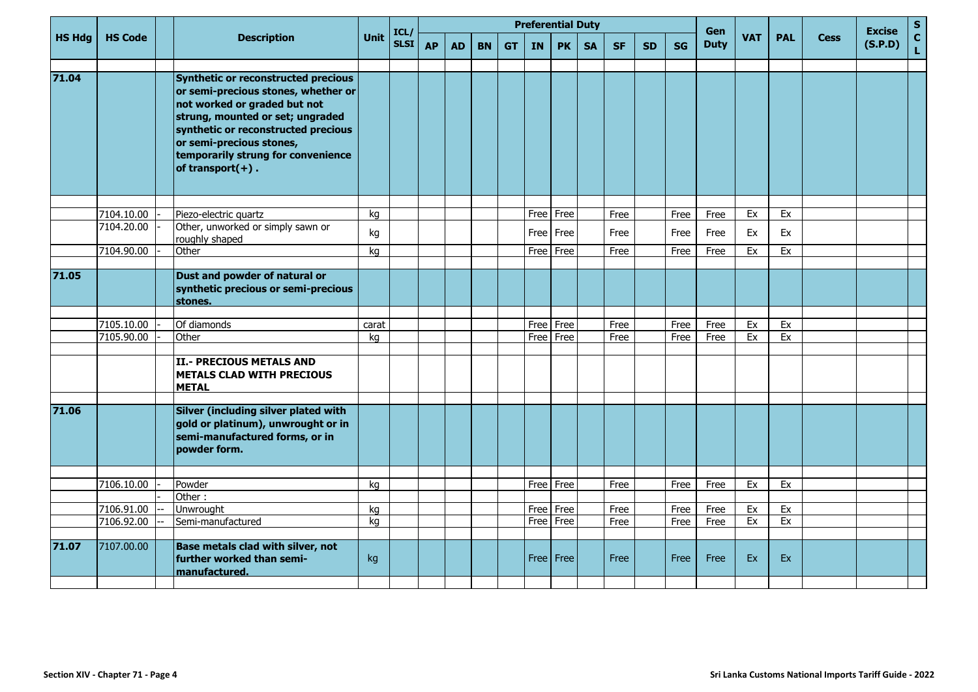|               |                          |                                                                                                                                                                                                                                                                                 |             |                     | <b>Preferential Duty</b> |           |           |           |              |              |           |              |           |              |                    |            |            |             | <b>Excise</b> | S           |
|---------------|--------------------------|---------------------------------------------------------------------------------------------------------------------------------------------------------------------------------------------------------------------------------------------------------------------------------|-------------|---------------------|--------------------------|-----------|-----------|-----------|--------------|--------------|-----------|--------------|-----------|--------------|--------------------|------------|------------|-------------|---------------|-------------|
| <b>HS Hdg</b> | <b>HS Code</b>           | <b>Description</b>                                                                                                                                                                                                                                                              | Unit        | ICL/<br><b>SLSI</b> | <b>AP</b>                | <b>AD</b> | <b>BN</b> | <b>GT</b> | <b>IN</b>    | <b>PK</b>    | <b>SA</b> | <b>SF</b>    | <b>SD</b> | <b>SG</b>    | Gen<br><b>Duty</b> | <b>VAT</b> | <b>PAL</b> | <b>Cess</b> | (S.P.D)       | $\mathbf c$ |
| 71.04         |                          | Synthetic or reconstructed precious<br>or semi-precious stones, whether or<br>not worked or graded but not<br>strung, mounted or set; ungraded<br>synthetic or reconstructed precious<br>or semi-precious stones,<br>temporarily strung for convenience<br>of transport $(+)$ . |             |                     |                          |           |           |           |              |              |           |              |           |              |                    |            |            |             |               |             |
|               |                          |                                                                                                                                                                                                                                                                                 |             |                     |                          |           |           |           |              |              |           |              |           |              |                    |            |            |             |               |             |
|               | 7104.10.00<br>7104.20.00 | Piezo-electric quartz<br>Other, unworked or simply sawn or                                                                                                                                                                                                                      | kq          |                     |                          |           |           |           | Free         | Free         |           | Free         |           | Free         | Free               | Ex         | Ex         |             |               |             |
|               |                          | roughly shaped                                                                                                                                                                                                                                                                  | kg          |                     |                          |           |           |           | Free I       | Free         |           | Free         |           | Free         | Free               | Ex         | Ex         |             |               |             |
|               | 7104.90.00               | Other                                                                                                                                                                                                                                                                           | kg          |                     |                          |           |           |           | Free         | Free         |           | Free         |           | Free         | Free               | Ex         | Ex         |             |               |             |
| 71.05         |                          | Dust and powder of natural or<br>synthetic precious or semi-precious<br>stones.                                                                                                                                                                                                 |             |                     |                          |           |           |           |              |              |           |              |           |              |                    |            |            |             |               |             |
|               |                          |                                                                                                                                                                                                                                                                                 |             |                     |                          |           |           |           |              |              |           |              |           |              |                    |            |            |             |               |             |
|               | 7105.10.00<br>7105.90.00 | Of diamonds<br>Other                                                                                                                                                                                                                                                            | carat<br>kg |                     |                          |           |           |           | Free<br>Free | Free<br>Free |           | Free<br>Free |           | Free<br>Free | Free<br>Free       | Ex<br>Ex   | Ex<br>Ex   |             |               |             |
|               |                          |                                                                                                                                                                                                                                                                                 |             |                     |                          |           |           |           |              |              |           |              |           |              |                    |            |            |             |               |             |
|               |                          | <b>III.- PRECIOUS METALS AND</b><br><b>METALS CLAD WITH PRECIOUS</b><br><b>METAL</b>                                                                                                                                                                                            |             |                     |                          |           |           |           |              |              |           |              |           |              |                    |            |            |             |               |             |
| 71.06         |                          | Silver (including silver plated with<br>gold or platinum), unwrought or in<br>semi-manufactured forms, or in<br>powder form.                                                                                                                                                    |             |                     |                          |           |           |           |              |              |           |              |           |              |                    |            |            |             |               |             |
|               |                          |                                                                                                                                                                                                                                                                                 |             |                     |                          |           |           |           |              |              |           |              |           |              |                    |            |            |             |               |             |
|               | 7106.10.00               | Powder                                                                                                                                                                                                                                                                          | kg          |                     |                          |           |           |           | Free         | Free         |           | Free         |           | Free         | Free               | Ex         | Ex         |             |               |             |
|               | 7106.91.00               | Other:<br>Unwrought                                                                                                                                                                                                                                                             | kg          |                     |                          |           |           |           | Free         | Free         |           | Free         |           | Free         | Free               | Ex         | Ex         |             |               |             |
|               | 7106.92.00               | Semi-manufactured                                                                                                                                                                                                                                                               | kg          |                     |                          |           |           |           | Free         | Free         |           | Free         |           | Free         | Free               | Ex         | Ex         |             |               |             |
|               |                          |                                                                                                                                                                                                                                                                                 |             |                     |                          |           |           |           |              |              |           |              |           |              |                    |            |            |             |               |             |
| 71.07         | 7107.00.00               | Base metals clad with silver, not<br>further worked than semi-<br>manufactured.                                                                                                                                                                                                 | kg          |                     |                          |           |           |           |              | Free Free    |           | Free         |           | Free         | Free               | Ex         | Ex         |             |               |             |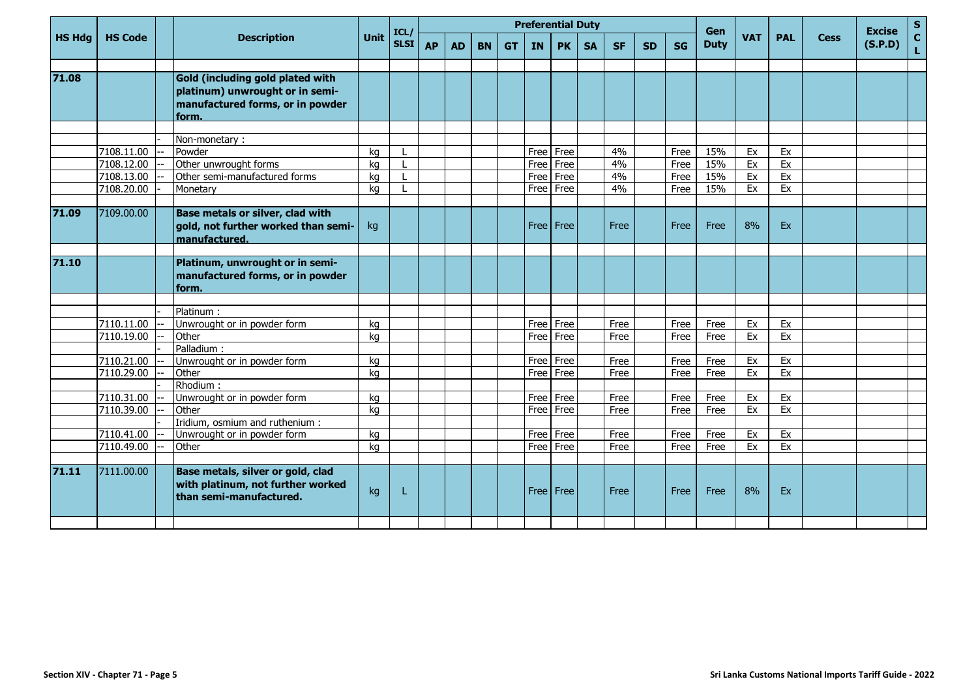|               |                |                                         |             | ICL/        | <b>Preferential Duty</b> |           |           |           |           |             |           |           |           |           | Gen         |            |            |             | <b>Excise</b> | $\frac{S}{C}$ |
|---------------|----------------|-----------------------------------------|-------------|-------------|--------------------------|-----------|-----------|-----------|-----------|-------------|-----------|-----------|-----------|-----------|-------------|------------|------------|-------------|---------------|---------------|
| <b>HS Hdg</b> | <b>HS Code</b> | <b>Description</b>                      | <b>Unit</b> | <b>SLSI</b> | <b>AP</b>                | <b>AD</b> | <b>BN</b> | <b>GT</b> | <b>IN</b> | <b>PK</b>   | <b>SA</b> | <b>SF</b> | <b>SD</b> | <b>SG</b> | <b>Duty</b> | <b>VAT</b> | <b>PAL</b> | <b>Cess</b> | (S.P.D)       | L.            |
|               |                |                                         |             |             |                          |           |           |           |           |             |           |           |           |           |             |            |            |             |               |               |
| 71.08         |                | Gold (including gold plated with        |             |             |                          |           |           |           |           |             |           |           |           |           |             |            |            |             |               |               |
|               |                | platinum) unwrought or in semi-         |             |             |                          |           |           |           |           |             |           |           |           |           |             |            |            |             |               |               |
|               |                | manufactured forms, or in powder        |             |             |                          |           |           |           |           |             |           |           |           |           |             |            |            |             |               |               |
|               |                | form.                                   |             |             |                          |           |           |           |           |             |           |           |           |           |             |            |            |             |               |               |
|               |                |                                         |             |             |                          |           |           |           |           |             |           |           |           |           |             |            |            |             |               |               |
|               |                | Non-monetary:                           |             |             |                          |           |           |           |           |             |           |           |           |           |             |            |            |             |               |               |
|               | 7108.11.00     | Powder                                  | kq          |             |                          |           |           |           |           | Free Free   |           | 4%        |           | Free      | 15%         | Ex         | Ex         |             |               |               |
|               | 7108.12.00     | Other unwrought forms                   | kg          |             |                          |           |           |           | Free      | Free        |           | 4%        |           | Free      | 15%         | Ex         | Ex         |             |               |               |
|               | 7108.13.00     | Other semi-manufactured forms           | ka          |             |                          |           |           |           | Free      | Free        |           | 4%        |           | Free      | 15%         | Ex         | Ex         |             |               |               |
|               | 7108.20.00     | Monetary                                | kg          |             |                          |           |           |           |           | Free Free   |           | 4%        |           | Free      | 15%         | Ex         | Ex         |             |               |               |
|               |                |                                         |             |             |                          |           |           |           |           |             |           |           |           |           |             |            |            |             |               |               |
| 71.09         | 7109.00.00     | <b>Base metals or silver, clad with</b> |             |             |                          |           |           |           |           |             |           |           |           |           |             |            |            |             |               |               |
|               |                | gold, not further worked than semi-     | kg          |             |                          |           |           |           |           | Free Free   |           | Free      |           | Free      | Free        | 8%         | Ex         |             |               |               |
|               |                | manufactured.                           |             |             |                          |           |           |           |           |             |           |           |           |           |             |            |            |             |               |               |
|               |                |                                         |             |             |                          |           |           |           |           |             |           |           |           |           |             |            |            |             |               |               |
| 71.10         |                | Platinum, unwrought or in semi-         |             |             |                          |           |           |           |           |             |           |           |           |           |             |            |            |             |               |               |
|               |                | manufactured forms, or in powder        |             |             |                          |           |           |           |           |             |           |           |           |           |             |            |            |             |               |               |
|               |                | lform.                                  |             |             |                          |           |           |           |           |             |           |           |           |           |             |            |            |             |               |               |
|               |                |                                         |             |             |                          |           |           |           |           |             |           |           |           |           |             |            |            |             |               |               |
|               |                | Platinum:                               |             |             |                          |           |           |           |           |             |           |           |           |           |             |            |            |             |               |               |
|               | 7110.11.00     | Unwrought or in powder form             | kg          |             |                          |           |           |           |           | Free Free   |           | Free      |           | Free      | Free        | Ex         | Ex         |             |               |               |
|               | 7110.19.00     | Other                                   | ka          |             |                          |           |           |           |           | Free   Free |           | Free      |           | Free      | Free        | Ex         | Ex         |             |               |               |
|               |                | Palladium:                              |             |             |                          |           |           |           |           |             |           |           |           |           |             |            |            |             |               |               |
|               | 7110.21.00     | Unwrought or in powder form             | kg          |             |                          |           |           |           |           | Free Free   |           | Free      |           | Free      | Free        | Ex         | Ex         |             |               |               |
|               | 7110.29.00     | Other                                   | ka          |             |                          |           |           |           | Free      | Free        |           | Free      |           | Free      | Free        | Ex         | Ex         |             |               |               |
|               |                | Rhodium:                                |             |             |                          |           |           |           |           |             |           |           |           |           |             |            |            |             |               |               |
|               | 7110.31.00     | Unwrought or in powder form             | kg          |             |                          |           |           |           |           | Free   Free |           | Free      |           | Free      | Free        | Ex         | Ex         |             |               |               |
|               | 7110.39.00     | Other                                   | kg          |             |                          |           |           |           |           | Free Free   |           | Free      |           | Free      | Free        | Ex         | Ex         |             |               |               |
|               |                | Iridium, osmium and ruthenium:          |             |             |                          |           |           |           |           |             |           |           |           |           |             |            |            |             |               |               |
|               | 7110.41.00     | Unwrought or in powder form             | kg          |             |                          |           |           |           |           | Free   Free |           | Free      |           | Free      | Free        | Ex         | Ex         |             |               |               |
|               | 7110.49.00     | Other                                   | ka          |             |                          |           |           |           |           | Free Free   |           | Free      |           | Free      | Free        | Ex         | Ex         |             |               |               |
|               |                |                                         |             |             |                          |           |           |           |           |             |           |           |           |           |             |            |            |             |               |               |
| 71.11         | 7111.00.00     | Base metals, silver or gold, clad       |             |             |                          |           |           |           |           |             |           |           |           |           |             |            |            |             |               |               |
|               |                | with platinum, not further worked       |             |             |                          |           |           |           |           | Free   Free |           | Free      |           | Free      | Free        | 8%         | Ex         |             |               |               |
|               |                | than semi-manufactured.                 | kg          | L.          |                          |           |           |           |           |             |           |           |           |           |             |            |            |             |               |               |
|               |                |                                         |             |             |                          |           |           |           |           |             |           |           |           |           |             |            |            |             |               |               |
|               |                |                                         |             |             |                          |           |           |           |           |             |           |           |           |           |             |            |            |             |               |               |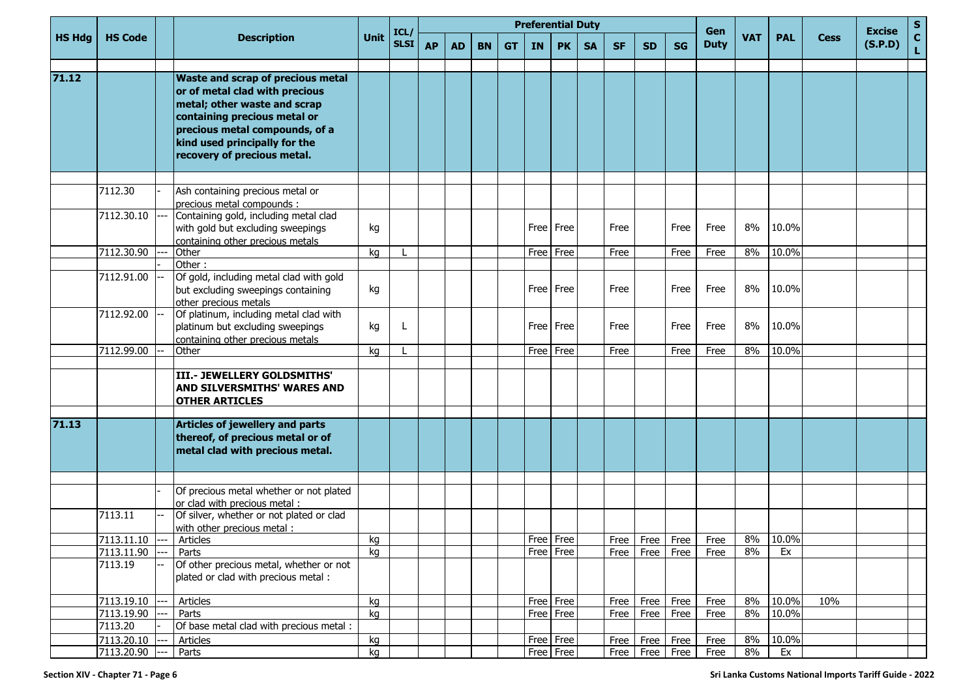|               | <b>HS Code</b> |     |                                                                                                                                                                                                                                              |             |                     |           | <b>Preferential Duty</b><br>Gen |           |           |           |           |           |           |           |           |             |            |            | <b>Excise</b> | $S_{C}$ |    |
|---------------|----------------|-----|----------------------------------------------------------------------------------------------------------------------------------------------------------------------------------------------------------------------------------------------|-------------|---------------------|-----------|---------------------------------|-----------|-----------|-----------|-----------|-----------|-----------|-----------|-----------|-------------|------------|------------|---------------|---------|----|
| <b>HS Hdg</b> |                |     | <b>Description</b>                                                                                                                                                                                                                           | <b>Unit</b> | ICL/<br><b>SLSI</b> | <b>AP</b> | <b>AD</b>                       | <b>BN</b> | <b>GT</b> | <b>IN</b> | <b>PK</b> | <b>SA</b> | <b>SF</b> | <b>SD</b> | <b>SG</b> | <b>Duty</b> | <b>VAT</b> | <b>PAL</b> | <b>Cess</b>   | (S.P.D) | L. |
| 71.12         |                |     | <b>Waste and scrap of precious metal</b><br>or of metal clad with precious<br>metal; other waste and scrap<br>containing precious metal or<br>precious metal compounds, of a<br>kind used principally for the<br>recovery of precious metal. |             |                     |           |                                 |           |           |           |           |           |           |           |           |             |            |            |               |         |    |
|               | 7112.30        |     | Ash containing precious metal or                                                                                                                                                                                                             |             |                     |           |                                 |           |           |           |           |           |           |           |           |             |            |            |               |         |    |
|               |                |     | precious metal compounds :                                                                                                                                                                                                                   |             |                     |           |                                 |           |           |           |           |           |           |           |           |             |            |            |               |         |    |
|               | 7112.30.10     |     | Containing gold, including metal clad<br>with gold but excluding sweepings<br>containing other precious metals                                                                                                                               | kg          |                     |           |                                 |           |           |           | Free Free |           | Free      |           | Free      | Free        | 8%         | 10.0%      |               |         |    |
|               | 7112.30.90     |     | Other                                                                                                                                                                                                                                        | kg          |                     |           |                                 |           |           |           | Free Free |           | Free      |           | Free      | Free        | 8%         | 10.0%      |               |         |    |
|               |                |     | Other:                                                                                                                                                                                                                                       |             |                     |           |                                 |           |           |           |           |           |           |           |           |             |            |            |               |         |    |
|               | 7112.91.00     |     | Of gold, including metal clad with gold<br>but excluding sweepings containing<br>other precious metals                                                                                                                                       | kg          |                     |           |                                 |           |           |           | Free Free |           | Free      |           | Free      | Free        | 8%         | 10.0%      |               |         |    |
|               | 7112.92.00     |     | Of platinum, including metal clad with<br>platinum but excluding sweepings<br>containing other precious metals                                                                                                                               | kg          | L                   |           |                                 |           |           |           | Free Free |           | Free      |           | Free      | Free        | 8%         | 10.0%      |               |         |    |
|               | 7112.99.00     |     | Other                                                                                                                                                                                                                                        | kg          |                     |           |                                 |           |           |           | Free Free |           | Free      |           | Free      | Free        | 8%         | 10.0%      |               |         |    |
|               |                |     |                                                                                                                                                                                                                                              |             |                     |           |                                 |           |           |           |           |           |           |           |           |             |            |            |               |         |    |
|               |                |     | III.- JEWELLERY GOLDSMITHS'<br><b>AND SILVERSMITHS' WARES AND</b><br><b>OTHER ARTICLES</b>                                                                                                                                                   |             |                     |           |                                 |           |           |           |           |           |           |           |           |             |            |            |               |         |    |
| 71.13         |                |     | <b>Articles of jewellery and parts</b><br>thereof, of precious metal or of<br>metal clad with precious metal.                                                                                                                                |             |                     |           |                                 |           |           |           |           |           |           |           |           |             |            |            |               |         |    |
|               |                |     |                                                                                                                                                                                                                                              |             |                     |           |                                 |           |           |           |           |           |           |           |           |             |            |            |               |         |    |
|               |                |     | Of precious metal whether or not plated                                                                                                                                                                                                      |             |                     |           |                                 |           |           |           |           |           |           |           |           |             |            |            |               |         |    |
|               | 7113.11        |     | or clad with precious metal :<br>Of silver, whether or not plated or clad<br>with other precious metal :                                                                                                                                     |             |                     |           |                                 |           |           |           |           |           |           |           |           |             |            |            |               |         |    |
|               | 7113.11.10     |     | Articles                                                                                                                                                                                                                                     | kg          |                     |           |                                 |           |           |           | Free Free |           | Free      | Free      | Free      | Free        | 8%         | 10.0%      |               |         |    |
|               | 7113.11.90     |     | Parts                                                                                                                                                                                                                                        | kg          |                     |           |                                 |           |           |           | Free Free |           | Free      | Free      | Free      | Free        | 8%         | Ex         |               |         |    |
|               | 7113.19        |     | Of other precious metal, whether or not<br>plated or clad with precious metal :                                                                                                                                                              |             |                     |           |                                 |           |           |           |           |           |           |           |           |             |            |            |               |         |    |
|               | 7113.19.10 --- |     | Articles                                                                                                                                                                                                                                     | kg          |                     |           |                                 |           |           |           | Free Free |           | Free      | Free      | Free      | Free        | 8%         | 10.0%      | 10%           |         |    |
|               | 7113.19.90     |     | Parts                                                                                                                                                                                                                                        | kg          |                     |           |                                 |           |           |           | Free Free |           | Free      | Free      | Free      | Free        | 8%         | 10.0%      |               |         |    |
|               | 7113.20        |     | Of base metal clad with precious metal :                                                                                                                                                                                                     |             |                     |           |                                 |           |           |           |           |           |           |           |           |             |            |            |               |         |    |
|               | 7113.20.10     | --- | Articles                                                                                                                                                                                                                                     | kg          |                     |           |                                 |           |           |           | Free Free |           | Free      | Free      | Free      | Free        | 8%         | 10.0%      |               |         |    |
|               | 7113.20.90 --- |     | Parts                                                                                                                                                                                                                                        | kg          |                     |           |                                 |           |           |           | Free Free |           | Free      | Free      | Free      | Free        | 8%         | Ex         |               |         |    |